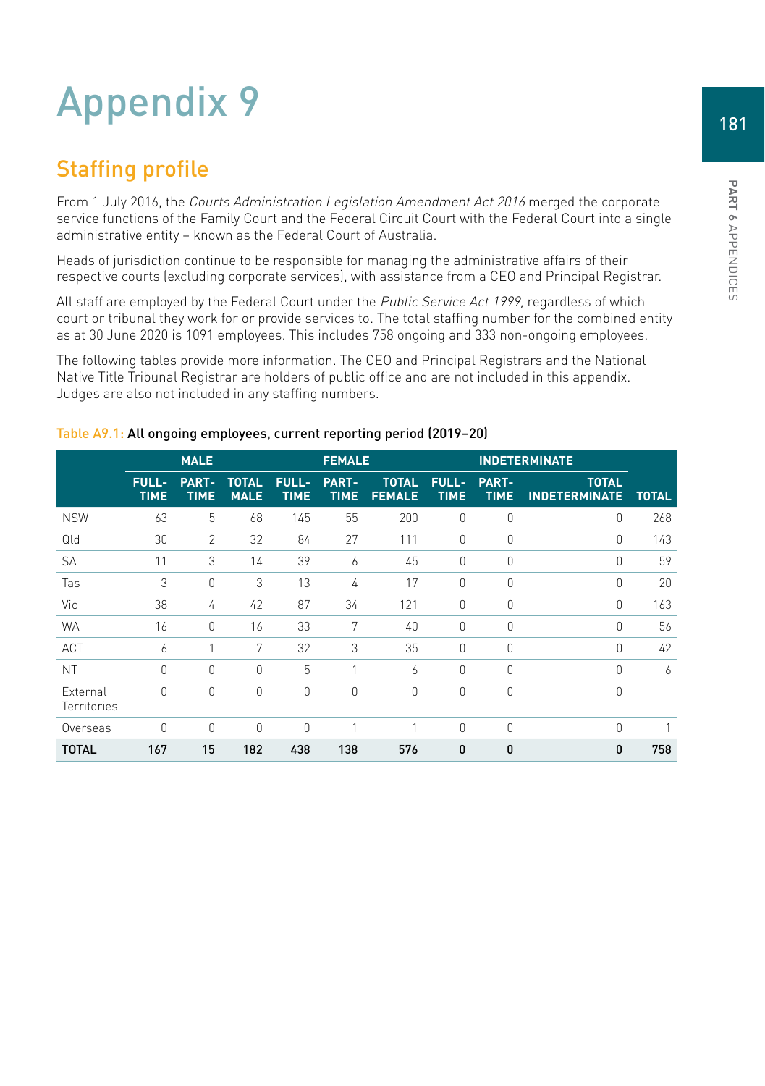# Appendix 9

# Staffing profile

From 1 July 2016, the Courts Administration Legislation Amendment Act 2016 merged the corporate service functions of the Family Court and the Federal Circuit Court with the Federal Court into a single administrative entity – known as the Federal Court of Australia.

Heads of jurisdiction continue to be responsible for managing the administrative affairs of their respective courts (excluding corporate services), with assistance from a CEO and Principal Registrar.

All staff are employed by the Federal Court under the Public Service Act 1999, regardless of which court or tribunal they work for or provide services to. The total staffing number for the combined entity as at 30 June 2020 is 1091 employees. This includes 758 ongoing and 333 non-ongoing employees.

The following tables provide more information. The CEO and Principal Registrars and the National Native Title Tribunal Registrar are holders of public office and are not included in this appendix. Judges are also not included in any staffing numbers.

|                         | <b>MALE</b>                 |                             |                             |                             | <b>FEMALE</b>               |                               | <b>INDETERMINATE</b>        |                             |                                      |              |
|-------------------------|-----------------------------|-----------------------------|-----------------------------|-----------------------------|-----------------------------|-------------------------------|-----------------------------|-----------------------------|--------------------------------------|--------------|
|                         | <b>FULL-</b><br><b>TIME</b> | <b>PART-</b><br><b>TIME</b> | <b>TOTAL</b><br><b>MALE</b> | <b>FULL-</b><br><b>TIME</b> | <b>PART-</b><br><b>TIME</b> | <b>TOTAL</b><br><b>FEMALE</b> | <b>FULL-</b><br><b>TIME</b> | <b>PART-</b><br><b>TIME</b> | <b>TOTAL</b><br><b>INDETERMINATE</b> | <b>TOTAL</b> |
| <b>NSW</b>              | 63                          | 5                           | 68                          | 145                         | 55                          | 200                           | $\Omega$                    | $\mathbf 0$                 | $\Omega$                             | 268          |
| Qld                     | 30                          | $\overline{2}$              | 32                          | 84                          | 27                          | 111                           | $\Omega$                    | 0                           | $\Omega$                             | 143          |
| <b>SA</b>               | 11                          | 3                           | 14                          | 39                          | 6                           | 45                            | $\Omega$                    | 0                           | $\theta$                             | 59           |
| Tas                     | 3                           | $\theta$                    | 3                           | 13                          | 4                           | 17                            | $\Omega$                    | 0                           | $\Omega$                             | 20           |
| <b>Vic</b>              | 38                          | 4                           | 42                          | 87                          | 34                          | 121                           | $\Omega$                    | 0                           | $\Omega$                             | 163          |
| <b>WA</b>               | 16                          | $\theta$                    | 16                          | 33                          | 7                           | 40                            | $\theta$                    | $\mathbf 0$                 | $\mathbf{0}$                         | 56           |
| <b>ACT</b>              | 6                           | 1                           | 7                           | 32                          | 3                           | 35                            | $\Omega$                    | $\mathbf 0$                 | $\theta$                             | 42           |
| <b>NT</b>               | 0                           | $\theta$                    | 0                           | 5                           |                             | 6                             | $\Omega$                    | 0                           | $\theta$                             | 6            |
| External<br>Territories | $\bigcap$                   | $\Omega$                    | 0                           | 0                           | $\Omega$                    | 0                             | $\Omega$                    | 0                           | 0                                    |              |
| Overseas                | $\Omega$                    | $\Omega$                    | 0                           | 0                           |                             | 1                             | $\Omega$                    | 0                           | $\theta$                             |              |
| <b>TOTAL</b>            | 167                         | 15                          | 182                         | 438                         | 138                         | 576                           | $\mathbf{0}$                | 0                           | 0                                    | 758          |

#### Table A9.1: All ongoing employees, current reporting period (2019–20)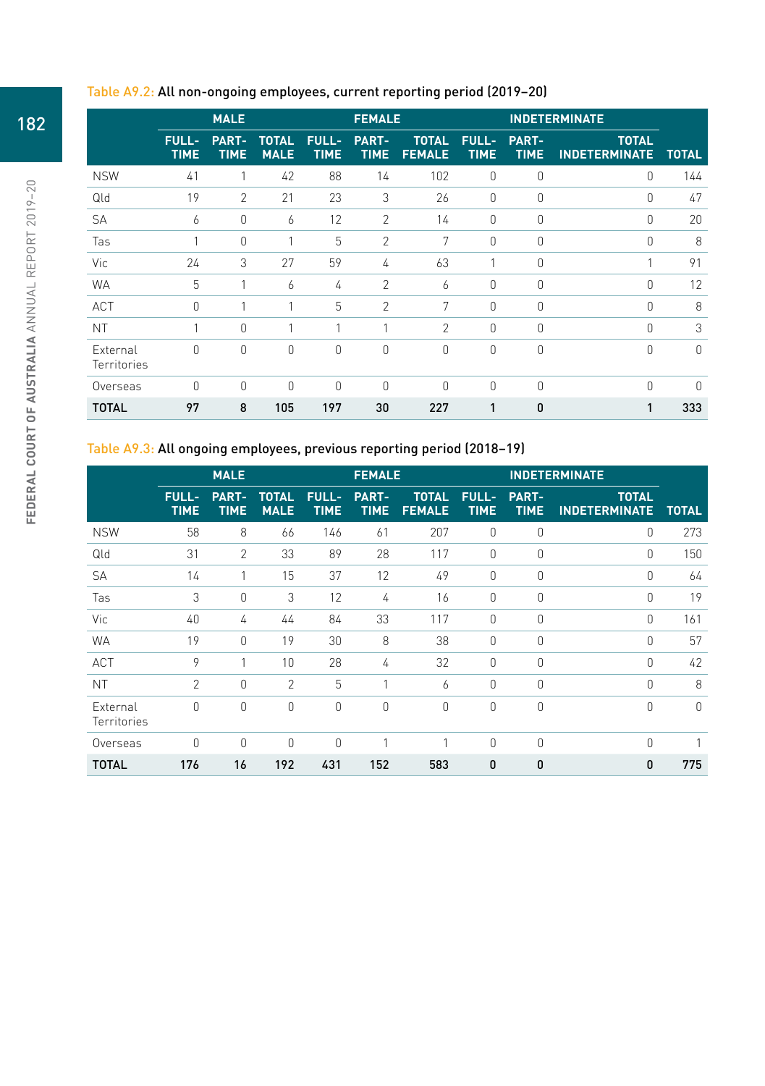|                         | <b>MALE</b>                 |                      |                             |                             | <b>FEMALE</b>               |                               |                             | <b>INDETERMINATE</b>        |                                      |              |
|-------------------------|-----------------------------|----------------------|-----------------------------|-----------------------------|-----------------------------|-------------------------------|-----------------------------|-----------------------------|--------------------------------------|--------------|
|                         | <b>FULL-</b><br><b>TIME</b> | PART-<br><b>TIME</b> | <b>TOTAL</b><br><b>MALE</b> | <b>FULL-</b><br><b>TIME</b> | <b>PART-</b><br><b>TIME</b> | <b>TOTAL</b><br><b>FEMALE</b> | <b>FULL-</b><br><b>TIME</b> | <b>PART-</b><br><b>TIME</b> | <b>TOTAL</b><br><b>INDETERMINATE</b> | <b>TOTAL</b> |
| <b>NSW</b>              | 41                          | $\mathbf{1}$         | 42                          | 88                          | 14                          | 102                           | $\Omega$                    | $\theta$                    | $\Omega$                             | 144          |
| Qld                     | 19                          | $\mathcal{P}$        | 21                          | 23                          | 3                           | 26                            | 0                           | $\bigcap$                   | $\Omega$                             | 47           |
| <b>SA</b>               | 6                           | $\Omega$             | 6                           | 12                          | $\mathfrak{D}$              | 14                            | 0                           | $\Omega$                    | $\Omega$                             | 20           |
| Tas                     | 1                           | $\Omega$             | 1                           | 5                           | $\overline{2}$              | 7                             | 0                           | $\Omega$                    | 0                                    | 8            |
| Vic                     | 24                          | 3                    | 27                          | 59                          | 4                           | 63                            | 1                           | $\Omega$                    | 1                                    | 91           |
| <b>WA</b>               | 5                           | 1                    | 6                           | 4                           | $\overline{2}$              | 6                             | 0                           | 0                           | $\mathbf 0$                          | 12           |
| <b>ACT</b>              | $\bigcap$                   | 1                    |                             | 5                           | $\mathfrak{D}$              | 7                             | 0                           | $\Omega$                    | $\Omega$                             | 8            |
| <b>NT</b>               |                             | 0                    |                             | 1                           | 1                           | $\mathfrak{D}$                | 0                           | 0                           | 0                                    | 3            |
| External<br>Territories | $\Omega$                    | $\Omega$             | $\Omega$                    | $\Omega$                    | $\Omega$                    | $\Omega$                      | $\Omega$                    | $\Omega$                    | $\Omega$                             | $\Omega$     |
| Overseas                | $\bigcap$                   | $\Omega$             | $\Omega$                    | $\Omega$                    | $\Omega$                    | $\Omega$                      | $\Omega$                    | $\Omega$                    | $\Omega$                             | $\Omega$     |
| <b>TOTAL</b>            | 97                          | 8                    | 105                         | 197                         | 30                          | 227                           | 1                           | $\mathbf{0}$                | 1                                    | 333          |

# Table A9.2: All non-ongoing employees, current reporting period (2019–20)

# Table A9.3: All ongoing employees, previous reporting period (2018–19)

|                         | <b>MALE</b>                 |                             |                             |                             | <b>FEMALE</b>               |                               | <b>INDETERMINATE</b>        |                      |                                      |              |
|-------------------------|-----------------------------|-----------------------------|-----------------------------|-----------------------------|-----------------------------|-------------------------------|-----------------------------|----------------------|--------------------------------------|--------------|
|                         | <b>FULL-</b><br><b>TIME</b> | <b>PART-</b><br><b>TIME</b> | <b>TOTAL</b><br><b>MALE</b> | <b>FULL-</b><br><b>TIME</b> | <b>PART-</b><br><b>TIME</b> | <b>TOTAL</b><br><b>FEMALE</b> | <b>FULL-</b><br><b>TIME</b> | PART-<br><b>TIME</b> | <b>TOTAL</b><br><b>INDETERMINATE</b> | <b>TOTAL</b> |
| <b>NSW</b>              | 58                          | 8                           | 66                          | 146                         | 61                          | 207                           | $\Omega$                    | $\mathbf{0}$         | $\Omega$                             | 273          |
| Qld                     | 31                          | $\mathcal{P}$               | 33                          | 89                          | 28                          | 117                           | $\Omega$                    | $\mathbf{0}$         | $\Omega$                             | 150          |
| <b>SA</b>               | 14                          | 1                           | 15                          | 37                          | 12                          | 49                            | $\mathbf 0$                 | $\mathbf{0}$         | $\mathbf 0$                          | 64           |
| Tas                     | 3                           | $\Omega$                    | 3                           | 12                          | 4                           | 16                            | $\Omega$                    | $\mathbf{0}$         | $\Omega$                             | 19           |
| Vic                     | 40                          | 4                           | 44                          | 84                          | 33                          | 117                           | $\Omega$                    | $\mathbf 0$          | 0                                    | 161          |
| <b>WA</b>               | 19                          | $\Omega$                    | 19                          | 30                          | 8                           | 38                            | $\Omega$                    | $\Omega$             | $\Omega$                             | 57           |
| <b>ACT</b>              | 9                           | $\mathbf{1}$                | 10                          | 28                          | 4                           | 32                            | $\Omega$                    | $\mathbf{0}$         | $\Omega$                             | 42           |
| <b>NT</b>               | $\overline{2}$              | $\theta$                    | $\overline{2}$              | 5                           |                             | 6                             | $\Omega$                    | 0                    | $\mathbf 0$                          | 8            |
| External<br>Territories | 0                           | $\Omega$                    | $\mathbf 0$                 | $\mathbf 0$                 | $\Omega$                    | 0                             | $\Omega$                    | $\mathbf 0$          | $\mathbf{0}$                         | $\Omega$     |
| Overseas                | 0                           | $\Omega$                    | $\mathbf 0$                 | $\mathbf 0$                 | $\overline{ }$              | 1                             | $\Omega$                    | $\Omega$             | $\Omega$                             |              |
| <b>TOTAL</b>            | 176                         | 16                          | 192                         | 431                         | 152                         | 583                           | $\mathbf{0}$                | 0                    | $\mathbf{0}$                         | 775          |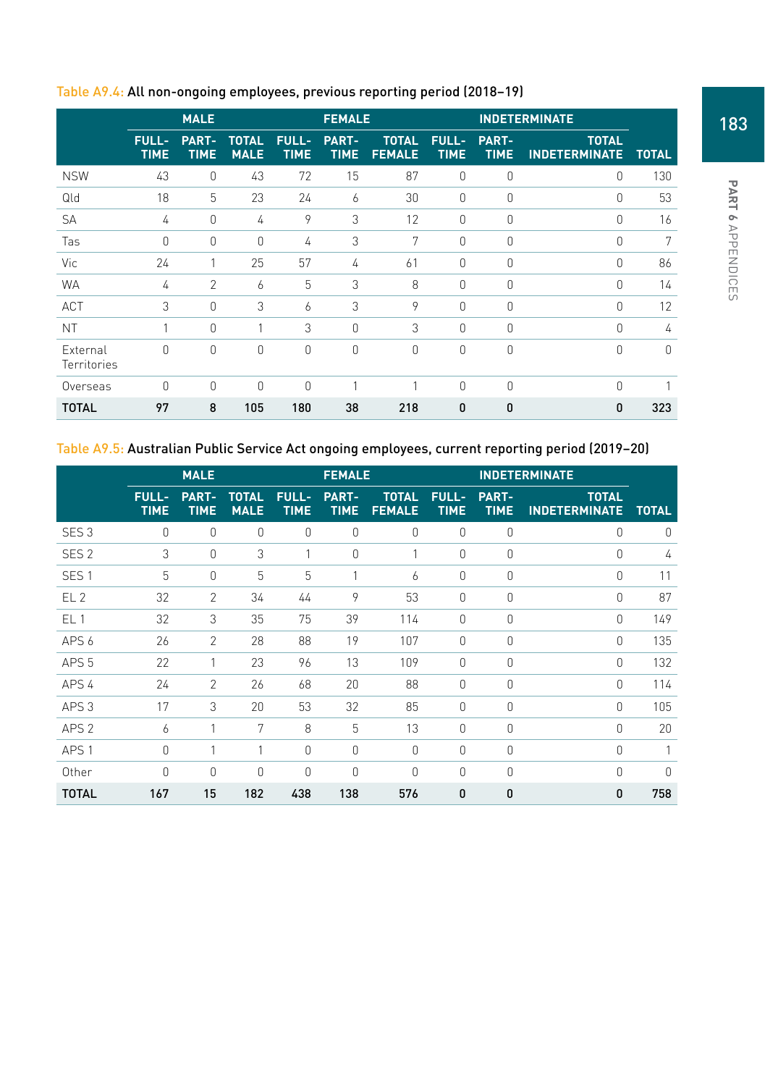|                         | <b>MALE</b>                 |                      |                             | <b>FEMALE</b>               |                             |                               |                      | <b>INDETERMINATE</b> |                                      |              |
|-------------------------|-----------------------------|----------------------|-----------------------------|-----------------------------|-----------------------------|-------------------------------|----------------------|----------------------|--------------------------------------|--------------|
|                         | <b>FULL-</b><br><b>TIME</b> | PART-<br><b>TIME</b> | <b>TOTAL</b><br><b>MALE</b> | <b>FULL-</b><br><b>TIME</b> | <b>PART-</b><br><b>TIME</b> | <b>TOTAL</b><br><b>FEMALE</b> | <b>FULL-</b><br>TIME | PART-<br><b>TIME</b> | <b>TOTAL</b><br><b>INDETERMINATE</b> | <b>TOTAL</b> |
| <b>NSW</b>              | 43                          | $\mathbf 0$          | 43                          | 72                          | 15                          | 87                            | $\theta$             | $\mathbf{0}$         | 0                                    | 130          |
| Qld                     | 18                          | 5                    | 23                          | 24                          | 6                           | 30                            | 0                    | $\mathbf 0$          | 0                                    | 53           |
| <b>SA</b>               | 4                           | $\Omega$             | 4                           | 9                           | 3                           | 12                            | $\Omega$             | $\mathbf{0}$         | $\Omega$                             | 16           |
| Tas                     | $\Omega$                    | $\Omega$             | 0                           | 4                           | 3                           | 7                             | $\Omega$             | 0                    | $\Omega$                             | 7            |
| Vic                     | 24                          | 1                    | 25                          | 57                          | 4                           | 61                            | $\Omega$             | $\mathbf{0}$         | 0                                    | 86           |
| <b>WA</b>               | 4                           | $\overline{2}$       | 6                           | 5                           | 3                           | 8                             | 0                    | $\mathbf 0$          | $\Omega$                             | 14           |
| <b>ACT</b>              | 3                           | $\Omega$             | 3                           | 6                           | 3                           | 9                             | 0                    | 0                    | 0                                    | 12           |
| <b>NT</b>               |                             | $\Omega$             | 1                           | 3                           | $\Omega$                    | 3                             | $\Omega$             | $\Omega$             | $\Omega$                             | 4            |
| External<br>Territories | 0                           | $\Omega$             | 0                           | 0                           | $\Omega$                    | $\Omega$                      | $\Omega$             | $\mathbf{0}$         | $\Omega$                             | $\Omega$     |
| Overseas                | $\bigcap$                   | $\Omega$             | $\Omega$                    | 0                           | 1                           | 4                             | $\Omega$             | $\Omega$             | $\Omega$                             |              |
| <b>TOTAL</b>            | 97                          | 8                    | 105                         | 180                         | 38                          | 218                           | 0                    | 0                    | $\mathbf{0}$                         | 323          |

# Table A9.4: All non-ongoing employees, previous reporting period (2018–19)

Table A9.5: Australian Public Service Act ongoing employees, current reporting period (2019–20)

|                  | <b>MALE</b>                 |                             |                             |                             | <b>FEMALE</b>               |                               | <b>INDETERMINATE</b>        |                             |                                      |              |
|------------------|-----------------------------|-----------------------------|-----------------------------|-----------------------------|-----------------------------|-------------------------------|-----------------------------|-----------------------------|--------------------------------------|--------------|
|                  | <b>FULL-</b><br><b>TIME</b> | <b>PART-</b><br><b>TIME</b> | <b>TOTAL</b><br><b>MALE</b> | <b>FULL-</b><br><b>TIME</b> | <b>PART-</b><br><b>TIME</b> | <b>TOTAL</b><br><b>FEMALE</b> | <b>FULL-</b><br><b>TIME</b> | <b>PART-</b><br><b>TIME</b> | <b>TOTAL</b><br><b>INDETERMINATE</b> | <b>TOTAL</b> |
| SES <sub>3</sub> | $\mathbf 0$                 | 0                           | $\overline{0}$              | $\theta$                    | 0                           | 0                             | 0                           | $\mathbf{0}$                | 0                                    | $\mathbf 0$  |
| SES <sub>2</sub> | 3                           | $\mathbf 0$                 | 3                           | 1                           | 0                           | 1                             | $\Omega$                    | $\theta$                    | 0                                    | 4            |
| SES <sub>1</sub> | 5                           | 0                           | 5                           | 5                           | 1                           | 6                             | 0                           | $\Omega$                    | 0                                    | 11           |
| EL <sub>2</sub>  | 32                          | $\overline{2}$              | 34                          | 44                          | 9                           | 53                            | $\Omega$                    | $\theta$                    | $\Omega$                             | 87           |
| EL <sub>1</sub>  | 32                          | 3                           | 35                          | 75                          | 39                          | 114                           | 0                           | $\theta$                    | $\Omega$                             | 149          |
| APS 6            | 26                          | $\mathfrak{D}$              | 28                          | 88                          | 19                          | 107                           | 0                           | $\mathbf 0$                 | 0                                    | 135          |
| APS <sub>5</sub> | 22                          | 1                           | 23                          | 96                          | 13                          | 109                           | $\Omega$                    | $\theta$                    | $\Omega$                             | 132          |
| APS 4            | 24                          | $\overline{2}$              | 26                          | 68                          | 20                          | 88                            | 0                           | $\theta$                    | 0                                    | 114          |
| APS <sub>3</sub> | 17                          | 3                           | 20                          | 53                          | 32                          | 85                            | $\Omega$                    | $\theta$                    | $\Omega$                             | 105          |
| APS <sub>2</sub> | 6                           | 1                           | 7                           | 8                           | 5                           | 13                            | 0                           | $\mathbf 0$                 | 0                                    | 20           |
| APS <sub>1</sub> | $\theta$                    |                             |                             | $\mathbf{0}$                | 0                           | $\overline{0}$                | 0                           | $\mathbf{0}$                | 0                                    |              |
| Other            | $\theta$                    | $\Omega$                    | $\Omega$                    | $\Omega$                    | $\Omega$                    | $\Omega$                      | $\Omega$                    | $\Omega$                    | $\Omega$                             | $\Omega$     |
| <b>TOTAL</b>     | 167                         | 15                          | 182                         | 438                         | 138                         | 576                           | $\mathbf{0}$                | 0                           | $\mathbf{0}$                         | 758          |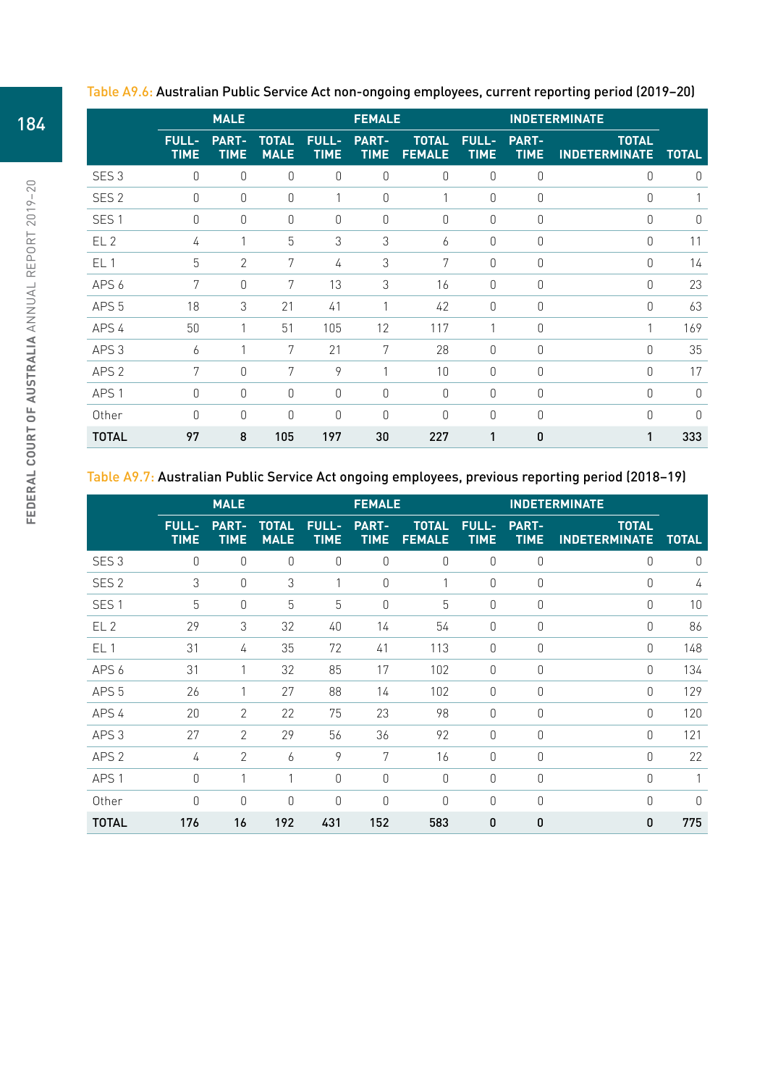|                  |                             | <b>MALE</b>          |                             |                             | <b>FEMALE</b>        |                               |                             |                      | <b>INDETERMINATE</b>                 |              |
|------------------|-----------------------------|----------------------|-----------------------------|-----------------------------|----------------------|-------------------------------|-----------------------------|----------------------|--------------------------------------|--------------|
|                  | <b>FULL-</b><br><b>TIME</b> | PART-<br><b>TIME</b> | <b>TOTAL</b><br><b>MALE</b> | <b>FULL-</b><br><b>TIME</b> | PART-<br><b>TIME</b> | <b>TOTAL</b><br><b>FEMALE</b> | <b>FULL-</b><br><b>TIME</b> | PART-<br><b>TIME</b> | <b>TOTAL</b><br><b>INDETERMINATE</b> | <b>TOTAL</b> |
| SES <sub>3</sub> | $\Omega$                    | $\Omega$             | $\Omega$                    | $\Omega$                    | $\Omega$             | $\Omega$                      | $\Omega$                    | $\Omega$             | $\Omega$                             | $\Omega$     |
| SES <sub>2</sub> | $\Omega$                    | $\Omega$             | $\Omega$                    | 1                           | $\mathbf{0}$         | 1                             | $\Omega$                    | $\Omega$             | $\Omega$                             | 1            |
| SES <sub>1</sub> | $\Omega$                    | $\Omega$             | 0                           | $\Omega$                    | 0                    | $\Omega$                      | 0                           | $\Omega$             | $\Omega$                             | 0            |
| EL <sub>2</sub>  | 4                           | 1                    | 5                           | 3                           | 3                    | 6                             | 0                           | $\mathbf{0}$         | $\Omega$                             | 11           |
| EL <sub>1</sub>  | 5                           | $\mathfrak{D}$       | 7                           | 4                           | 3                    | 7                             | 0                           | $\Omega$             | $\Omega$                             | 14           |
| APS 6            | 7                           | $\Omega$             | 7                           | 13                          | 3                    | 16                            | 0                           | $\Omega$             | $\Omega$                             | 23           |
| APS <sub>5</sub> | 18                          | 3                    | 21                          | 41                          | 1                    | 42                            | 0                           | $\mathbf{0}$         | $\Omega$                             | 63           |
| APS 4            | 50                          | 1                    | 51                          | 105                         | 12                   | 117                           | 1                           | $\Omega$             |                                      | 169          |
| APS <sub>3</sub> | 6                           | 1                    | 7                           | 21                          | 7                    | 28                            | 0                           | $\Omega$             | $\Omega$                             | 35           |
| APS <sub>2</sub> | 7                           | $\Omega$             | 7                           | 9                           | 1                    | 10                            | $\Omega$                    | $\mathbf 0$          | $\Omega$                             | 17           |
| APS <sub>1</sub> | $\bigcap$                   | $\Omega$             | $\Omega$                    | $\Omega$                    | $\Omega$             | $\Omega$                      | $\Omega$                    | $\Omega$             | $\Omega$                             | $\Omega$     |
| Other            | $\bigcap$                   | $\Omega$             | $\Omega$                    | $\Omega$                    | $\Omega$             | $\Omega$                      | 0                           | $\Omega$             | $\Omega$                             | $\Omega$     |
| <b>TOTAL</b>     | 97                          | 8                    | 105                         | 197                         | 30                   | 227                           | 1                           | $\bf{0}$             | 1                                    | 333          |

## Table A9.6: Australian Public Service Act non-ongoing employees, current reporting period (2019–20)

## Table A9.7: Australian Public Service Act ongoing employees, previous reporting period (2018–19)

|                  | <b>MALE</b>                 |                      |                             |                             | <b>FEMALE</b>               |                               |                             | <b>INDETERMINATE</b> |                                      |              |
|------------------|-----------------------------|----------------------|-----------------------------|-----------------------------|-----------------------------|-------------------------------|-----------------------------|----------------------|--------------------------------------|--------------|
|                  | <b>FULL-</b><br><b>TIME</b> | PART-<br><b>TIME</b> | <b>TOTAL</b><br><b>MALE</b> | <b>FULL-</b><br><b>TIME</b> | <b>PART-</b><br><b>TIME</b> | <b>TOTAL</b><br><b>FEMALE</b> | <b>FULL-</b><br><b>TIME</b> | PART-<br><b>TIME</b> | <b>TOTAL</b><br><b>INDETERMINATE</b> | <b>TOTAL</b> |
| SES <sub>3</sub> | 0                           | $\Omega$             | $\mathbf 0$                 | 0                           | 0                           | 0                             | $\Omega$                    | $\Omega$             | $\theta$                             | $\Omega$     |
| SES <sub>2</sub> | 3                           | $\theta$             | 3                           | 1                           | $\mathbf 0$                 |                               | $\theta$                    | $\mathbb O$          | $\mathbf 0$                          | 4            |
| SES <sub>1</sub> | 5                           | $\Omega$             | 5                           | 5                           | $\Omega$                    | 5                             | $\Omega$                    | $\mathbf{0}$         | $\Omega$                             | 10           |
| EL <sub>2</sub>  | 29                          | 3                    | 32                          | 40                          | 14                          | 54                            | $\theta$                    | $\mathbf{0}$         | $\mathbf 0$                          | 86           |
| EL <sub>1</sub>  | 31                          | 4                    | 35                          | 72                          | 41                          | 113                           | $\Omega$                    | $\Omega$             | $\Omega$                             | 148          |
| APS 6            | 31                          | 1                    | 32                          | 85                          | 17                          | 102                           | $\Omega$                    | $\Omega$             | $\Omega$                             | 134          |
| APS <sub>5</sub> | 26                          |                      | 27                          | 88                          | 14                          | 102                           | $\Omega$                    | $\mathbf{0}$         | $\Omega$                             | 129          |
| APS 4            | 20                          | $\mathcal{P}$        | 22                          | 75                          | 23                          | 98                            | $\Omega$                    | $\Omega$             | $\Omega$                             | 120          |
| APS <sub>3</sub> | 27                          | 2                    | 29                          | 56                          | 36                          | 92                            | $\Omega$                    | $\mathbf 0$          | $\mathbf 0$                          | 121          |
| APS <sub>2</sub> | 4                           | $\mathcal{P}$        | 6                           | 9                           | 7                           | 16                            | $\bigcap$                   | $\Omega$             | $\bigcap$                            | 22           |
| APS <sub>1</sub> | 0                           | 1                    | 1                           | 0                           | 0                           | 0                             | $\Omega$                    | $\mathbf 0$          | $\Omega$                             | 1            |
| Other            | 0                           | $\Omega$             | $\mathbf{0}$                | 0                           | 0                           | 0                             | $\Omega$                    | $\mathbf 0$          | $\theta$                             | $\theta$     |
| <b>TOTAL</b>     | 176                         | 16                   | 192                         | 431                         | 152                         | 583                           | $\mathbf{0}$                | $\mathbf{0}$         | 0                                    | 775          |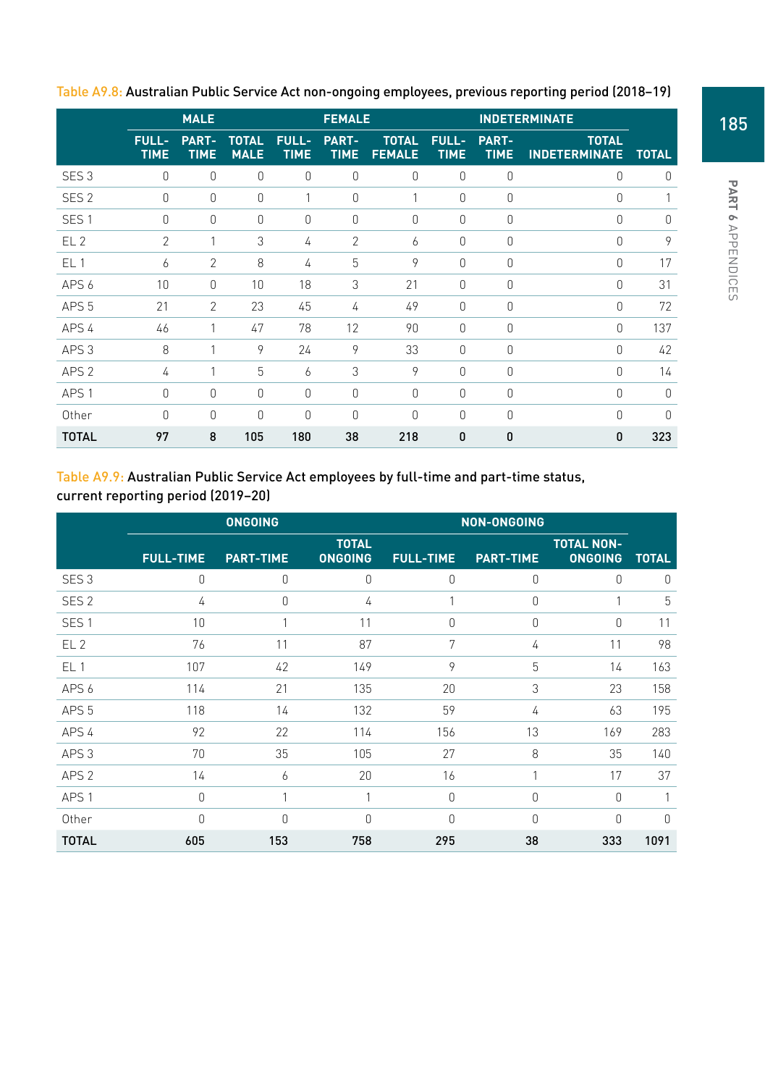|                  | <b>MALE</b>                 |                      |                             |                             | <b>FEMALE</b>        |                               |                             | <b>INDETERMINATE</b> |                                      |              |
|------------------|-----------------------------|----------------------|-----------------------------|-----------------------------|----------------------|-------------------------------|-----------------------------|----------------------|--------------------------------------|--------------|
|                  | <b>FULL-</b><br><b>TIME</b> | PART-<br><b>TIME</b> | <b>TOTAL</b><br><b>MALE</b> | <b>FULL-</b><br><b>TIME</b> | PART-<br><b>TIME</b> | <b>TOTAL</b><br><b>FEMALE</b> | <b>FULL-</b><br><b>TIME</b> | PART-<br><b>TIME</b> | <b>TOTAL</b><br><b>INDETERMINATE</b> | <b>TOTAL</b> |
| SES <sub>3</sub> | 0                           | $\Omega$             | $\mathbf 0$                 | $\mathbf 0$                 | $\Omega$             | $\Omega$                      | $\mathbf{0}$                | $\theta$             | 0                                    | 0            |
| SES <sub>2</sub> | 0                           | $\Omega$             | $\Omega$                    | 1                           | $\Omega$             |                               | $\Omega$                    | $\theta$             | $\Omega$                             |              |
| SES <sub>1</sub> | $\Omega$                    | $\Omega$             | $\mathbf 0$                 | $\Omega$                    | $\Omega$             | $\Omega$                      | $\Omega$                    | $\theta$             | 0                                    | $\Omega$     |
| EL <sub>2</sub>  | $\overline{2}$              |                      | 3                           | 4                           | $\overline{2}$       | 6                             | $\theta$                    | $\mathbf{0}$         | $\Omega$                             | 9            |
| EL <sub>1</sub>  | 6                           | 2                    | 8                           | 4                           | 5                    | 9                             | $\Omega$                    | $\Omega$             | 0                                    | 17           |
| APS 6            | 10                          | $\Omega$             | 10 <sup>1</sup>             | 18                          | 3                    | 21                            | $\Omega$                    | $\Omega$             | 0                                    | 31           |
| APS <sub>5</sub> | 21                          | $\overline{2}$       | 23                          | 45                          | 4                    | 49                            | $\theta$                    | $\theta$             | 0                                    | 72           |
| APS 4            | 46                          |                      | 47                          | 78                          | 12                   | 90                            | $\Omega$                    | $\Omega$             | $\Omega$                             | 137          |
| APS <sub>3</sub> | 8                           |                      | 9                           | 24                          | 9                    | 33                            | $\Omega$                    | $\theta$             | 0                                    | 42           |
| APS <sub>2</sub> | 4                           | 1                    | 5                           | 6                           | 3                    | 9                             | $\bigcap$                   | $\Omega$             | $\Omega$                             | 14           |
| APS <sub>1</sub> | $\Omega$                    | $\Omega$             | $\Omega$                    | $\Omega$                    | $\Omega$             | $\Omega$                      | $\Omega$                    | $\Omega$             | 0                                    | $\Omega$     |
| Other            | $\Omega$                    | $\Omega$             | $\Omega$                    | $\Omega$                    | $\Omega$             | 0                             | $\Omega$                    | $\mathbf{0}$         | $\Omega$                             | $\Omega$     |
| <b>TOTAL</b>     | 97                          | 8                    | 105                         | 180                         | 38                   | 218                           | 0                           | 0                    | 0                                    | 323          |

Table A9.8: Australian Public Service Act non-ongoing employees, previous reporting period (2018–19)

#### Table A9.9: Australian Public Service Act employees by full-time and part-time status, current reporting period (2019–20)

|                  |                  | <b>ONGOING</b>   |                                | <b>NON-ONGOING</b> |                  |                                     |              |  |
|------------------|------------------|------------------|--------------------------------|--------------------|------------------|-------------------------------------|--------------|--|
|                  | <b>FULL-TIME</b> | <b>PART-TIME</b> | <b>TOTAL</b><br><b>ONGOING</b> | <b>FULL-TIME</b>   | <b>PART-TIME</b> | <b>TOTAL NON-</b><br><b>ONGOING</b> | <b>TOTAL</b> |  |
| SES <sub>3</sub> | 0                | 0                | 0                              | 0                  | 0                | 0                                   | 0            |  |
| SES <sub>2</sub> | 4                | $\Omega$         | 4                              | 1                  | $\Omega$         | 1                                   | 5            |  |
| SES <sub>1</sub> | 10               | 1                | 11                             | $\Omega$           | $\Omega$         | $\Omega$                            | 11           |  |
| EL <sub>2</sub>  | 76               | 11               | 87                             | 7                  | 4                | 11                                  | 98           |  |
| EL <sub>1</sub>  | 107              | 42               | 149                            | 9                  | 5                | 14                                  | 163          |  |
| APS 6            | 114              | 21               | 135                            | 20                 | 3                | 23                                  | 158          |  |
| APS <sub>5</sub> | 118              | 14               | 132                            | 59                 | 4                | 63                                  | 195          |  |
| APS 4            | 92               | 22               | 114                            | 156                | 13               | 169                                 | 283          |  |
| APS <sub>3</sub> | 70               | 35               | 105                            | 27                 | 8                | 35                                  | 140          |  |
| APS <sub>2</sub> | 14               | 6                | 20                             | 16                 | 1                | 17                                  | 37           |  |
| APS <sub>1</sub> | $\Omega$         | 1                | 1                              | $\Omega$           | $\Omega$         | $\Omega$                            | 1            |  |
| Other            | $\Omega$         | $\Omega$         | $\Omega$                       | 0                  | 0                | 0                                   | $\cup$       |  |
| <b>TOTAL</b>     | 605              | 153              | 758                            | 295                | 38               | 333                                 | 1091         |  |

PART 6 APPENDICES Appendices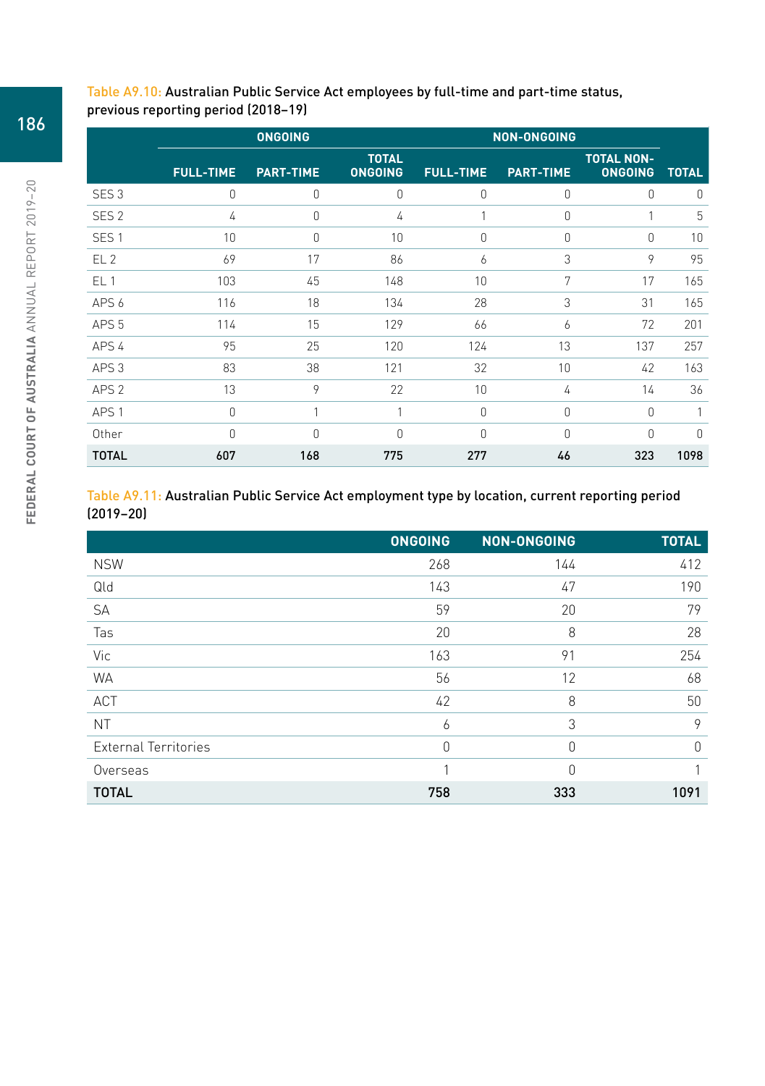#### Table A9.10: Australian Public Service Act employees by full-time and part-time status, previous reporting period (2018–19)

|                  |                  | <b>ONGOING</b>   |                                | <b>NON-ONGOING</b> |                  |                                     |              |
|------------------|------------------|------------------|--------------------------------|--------------------|------------------|-------------------------------------|--------------|
|                  | <b>FULL-TIME</b> | <b>PART-TIME</b> | <b>TOTAL</b><br><b>ONGOING</b> | <b>FULL-TIME</b>   | <b>PART-TIME</b> | <b>TOTAL NON-</b><br><b>ONGOING</b> | <b>TOTAL</b> |
| SES <sub>3</sub> | 0                | $\mathbf{0}$     | $\Omega$                       | $\Omega$           | 0                | 0                                   | $\Omega$     |
| SES <sub>2</sub> | 4                | $\theta$         | 4                              | 1                  | $\Omega$         | 1                                   | 5            |
| SES <sub>1</sub> | 10               | 0                | 10                             | $\mathbf{0}$       | $\overline{0}$   | 0                                   | 10           |
| EL <sub>2</sub>  | 69               | 17               | 86                             | 6                  | 3                | 9                                   | 95           |
| EL <sub>1</sub>  | 103              | 45               | 148                            | 10                 | 7                | 17                                  | 165          |
| APS 6            | 116              | 18               | 134                            | 28                 | 3                | 31                                  | 165          |
| APS <sub>5</sub> | 114              | 15               | 129                            | 66                 | 6                | 72                                  | 201          |
| APS 4            | 95               | 25               | 120                            | 124                | 13               | 137                                 | 257          |
| APS <sub>3</sub> | 83               | 38               | 121                            | 32                 | 10               | 42                                  | 163          |
| APS <sub>2</sub> | 13               | 9                | 22                             | 10                 | 4                | 14                                  | 36           |
| APS <sub>1</sub> | 0                | 1                | 1                              | $\mathbf 0$        | 0                | $\theta$                            | 1            |
| Other            | $\Omega$         | $\theta$         | $\Omega$                       | $\Omega$           | $\Omega$         | $\Omega$                            | $\bigcap$    |
| <b>TOTAL</b>     | 607              | 168              | 775                            | 277                | 46               | 323                                 | 1098         |

# Table A9.11: Australian Public Service Act employment type by location, current reporting period (2019–20)

|                             | <b>ONGOING</b> | <b>NON-ONGOING</b> | <b>TOTAL</b> |
|-----------------------------|----------------|--------------------|--------------|
| <b>NSW</b>                  | 268            | 144                | 412          |
| Qld                         | 143            | 47                 | 190          |
| <b>SA</b>                   | 59             | 20                 | 79           |
| Tas                         | 20             | 8                  | 28           |
| Vic                         | 163            | 91                 | 254          |
| <b>WA</b>                   | 56             | 12                 | 68           |
| ACT                         | 42             | 8                  | 50           |
| <b>NT</b>                   | 6              | 3                  | 9            |
| <b>External Territories</b> | 0              | 0                  | $\theta$     |
| Overseas                    | 1              | 0                  |              |
| <b>TOTAL</b>                | 758            | 333                | 1091         |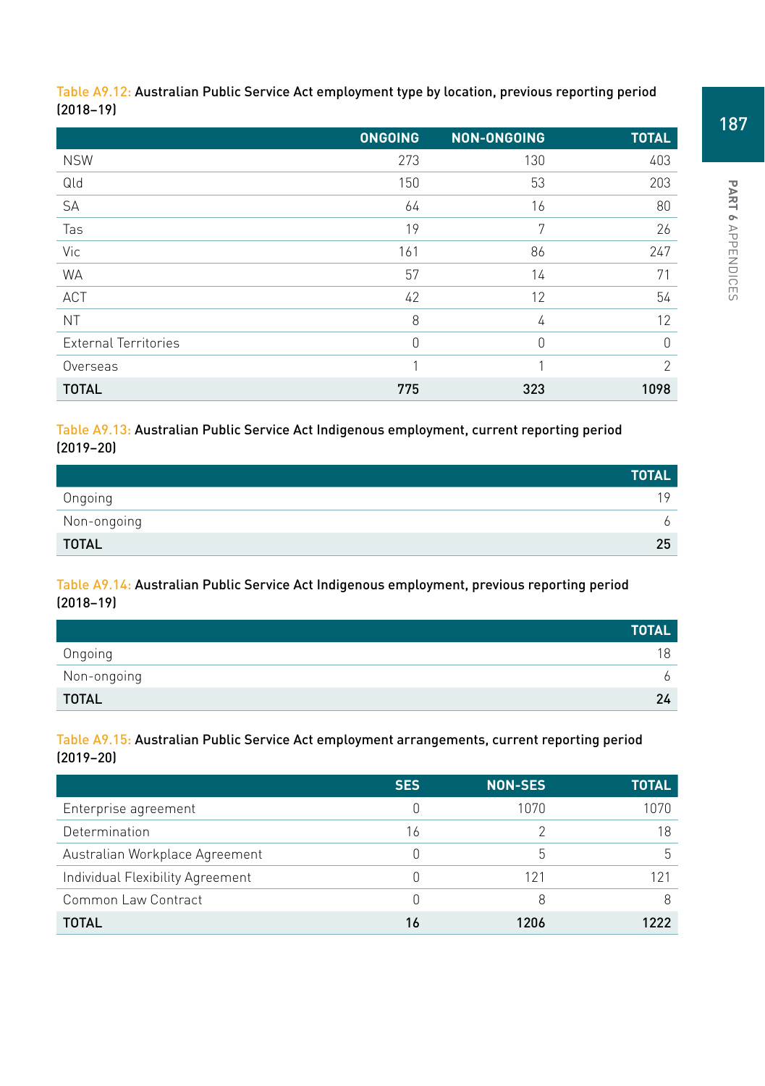|                             | <b>ONGOING</b> | NON-ONGOING | <b>TOTAL</b> |
|-----------------------------|----------------|-------------|--------------|
| <b>NSW</b>                  | 273            | 130         | 403          |
| Qld                         | 150            | 53          | 203          |
| SA                          | 64             | 16          | 80           |
| Tas                         | 19             | 7           | 26           |
| Vic                         | 161            | 86          | 247          |
| <b>WA</b>                   | 57             | 14          | 71           |
| <b>ACT</b>                  | 42             | 12          | 54           |
| <b>NT</b>                   | 8              | 4           | 12           |
| <b>External Territories</b> | 0              | 0           | 0            |
| Overseas                    | 1              | 1           | $\gamma$     |
| <b>TOTAL</b>                | 775            | 323         | 1098         |

Table A9.12: Australian Public Service Act employment type by location, previous reporting period (2018–19)

Table A9.13: Australian Public Service Act Indigenous employment, current reporting period (2019–20)

|              | <b>TOTAL</b> |
|--------------|--------------|
| Ongoing      | 1 Q          |
| Non-ongoing  |              |
| <b>TOTAL</b> | 25           |

Table A9.14: Australian Public Service Act Indigenous employment, previous reporting period (2018–19)

|              | <b>TOTAL</b> |
|--------------|--------------|
| Ongoing      | 8            |
| Non-ongoing  |              |
| <b>TOTAL</b> | 24           |

#### Table A9.15: Australian Public Service Act employment arrangements, current reporting period (2019–20)

|                                  | <b>SES</b> | <b>NON-SES</b> | <b>TOTAL</b> |
|----------------------------------|------------|----------------|--------------|
| Enterprise agreement             |            | 1070           | 1070         |
| Determination                    | 16         |                |              |
| Australian Workplace Agreement   |            | b              | h            |
| Individual Flexibility Agreement |            | 121            |              |
| Common Law Contract              |            |                |              |
| <b>TOTAL</b>                     | 16         | 1206           |              |